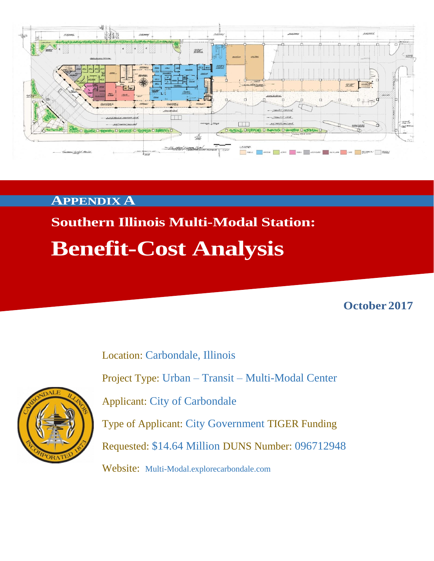

### **APPENDIX A**

# **Southern Illinois Multi-Modal Station: Benefit-Cost Analysis**

**October 2017**

Location: Carbondale, Illinois Project Type: Urban – Transit – Multi-Modal Center Applicant: City of Carbondale Type of Applicant: City Government TIGER Funding Requested: \$14.64 Million DUNS Number: 096712948 Website: Multi-Modal.explorecarbondale.com

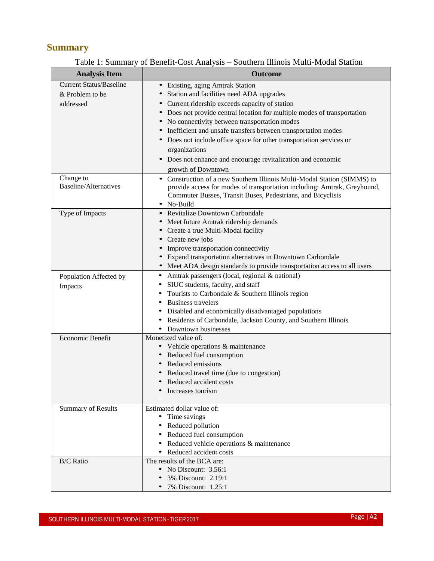### **Summary**

#### Table 1: Summary of Benefit-Cost Analysis – Southern Illinois Multi-Modal Station

| <b>Analysis Item</b>           | <b>Outcome</b>                                                            |
|--------------------------------|---------------------------------------------------------------------------|
| <b>Current Status/Baseline</b> | • Existing, aging Amtrak Station                                          |
| & Problem to be                | Station and facilities need ADA upgrades                                  |
| addressed                      | • Current ridership exceeds capacity of station                           |
|                                | • Does not provide central location for multiple modes of transportation  |
|                                | • No connectivity between transportation modes                            |
|                                | • Inefficient and unsafe transfers between transportation modes           |
|                                | • Does not include office space for other transportation services or      |
|                                | organizations                                                             |
|                                | • Does not enhance and encourage revitalization and economic              |
|                                | growth of Downtown                                                        |
| Change to                      | • Construction of a new Southern Illinois Multi-Modal Station (SIMMS) to  |
| <b>Baseline/Alternatives</b>   | provide access for modes of transportation including: Amtrak, Greyhound,  |
|                                | Commuter Busses, Transit Buses, Pedestrians, and Bicyclists               |
|                                | • No-Build<br>• Revitalize Downtown Carbondale                            |
| Type of Impacts                | • Meet future Amtrak ridership demands                                    |
|                                | • Create a true Multi-Modal facility                                      |
|                                | • Create new jobs                                                         |
|                                | • Improve transportation connectivity                                     |
|                                | • Expand transportation alternatives in Downtown Carbondale               |
|                                | • Meet ADA design standards to provide transportation access to all users |
| Population Affected by         | • Amtrak passengers (local, regional & national)                          |
| Impacts                        | SIUC students, faculty, and staff                                         |
|                                | Tourists to Carbondale & Southern Illinois region                         |
|                                | <b>Business travelers</b>                                                 |
|                                | Disabled and economically disadvantaged populations                       |
|                                | Residents of Carbondale, Jackson County, and Southern Illinois            |
|                                | • Downtown businesses                                                     |
| Economic Benefit               | Monetized value of:                                                       |
|                                | • Vehicle operations & maintenance                                        |
|                                | • Reduced fuel consumption                                                |
|                                | Reduced emissions                                                         |
|                                | Reduced travel time (due to congestion)                                   |
|                                | Reduced accident costs<br>Increases tourism                               |
|                                |                                                                           |
| <b>Summary of Results</b>      | Estimated dollar value of:                                                |
|                                | Time savings                                                              |
|                                | Reduced pollution                                                         |
|                                | Reduced fuel consumption                                                  |
|                                | Reduced vehicle operations & maintenance                                  |
|                                | • Reduced accident costs                                                  |
| <b>B/C</b> Ratio               | The results of the BCA are:                                               |
|                                | • No Discount: 3.56:1                                                     |
|                                | 3% Discount: 2.19:1                                                       |
|                                | 7% Discount: 1.25:1                                                       |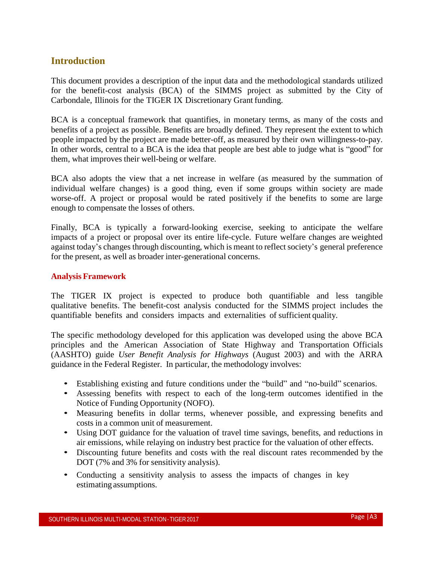#### **Introduction**

This document provides a description of the input data and the methodological standards utilized for the benefit-cost analysis (BCA) of the SIMMS project as submitted by the City of Carbondale, Illinois for the TIGER IX Discretionary Grant funding.

BCA is a conceptual framework that quantifies, in monetary terms, as many of the costs and benefits of a project as possible. Benefits are broadly defined. They represent the extent to which people impacted by the project are made better-off, as measured by their own willingness-to-pay. In other words, central to a BCA is the idea that people are best able to judge what is "good" for them, what improves their well-being or welfare.

BCA also adopts the view that a net increase in welfare (as measured by the summation of individual welfare changes) is a good thing, even if some groups within society are made worse-off. A project or proposal would be rated positively if the benefits to some are large enough to compensate the losses of others.

Finally, BCA is typically a forward-looking exercise, seeking to anticipate the welfare impacts of a project or proposal over its entire life-cycle. Future welfare changes are weighted against today's changes through discounting, which is meant to reflect society's general preference for the present, as well as broader inter-generational concerns.

#### **Analysis Framework**

The TIGER IX project is expected to produce both quantifiable and less tangible qualitative benefits. The benefit-cost analysis conducted for the SIMMS project includes the quantifiable benefits and considers impacts and externalities of sufficient quality.

The specific methodology developed for this application was developed using the above BCA principles and the American Association of State Highway and Transportation Officials (AASHTO) guide *User Benefit Analysis for Highways* (August 2003) and with the ARRA guidance in the Federal Register. In particular, the methodology involves:

- Establishing existing and future conditions under the "build" and "no-build" scenarios.
- Assessing benefits with respect to each of the long-term outcomes identified in the Notice of Funding Opportunity (NOFO).
- Measuring benefits in dollar terms, whenever possible, and expressing benefits and costs in a common unit of measurement.
- Using DOT guidance for the valuation of travel time savings, benefits, and reductions in air emissions, while relaying on industry best practice for the valuation of other effects.
- Discounting future benefits and costs with the real discount rates recommended by the DOT (7% and 3% for sensitivity analysis).
- Conducting a sensitivity analysis to assess the impacts of changes in key estimating assumptions.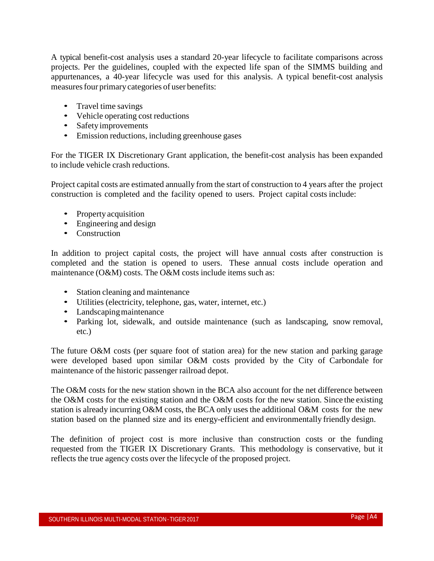A typical benefit-cost analysis uses a standard 20-year lifecycle to facilitate comparisons across projects. Per the guidelines, coupled with the expected life span of the SIMMS building and appurtenances, a 40-year lifecycle was used for this analysis. A typical benefit-cost analysis measures four primary categories of user benefits:

- Travel time savings
- Vehicle operating cost reductions
- Safety improvements
- Emission reductions, including greenhouse gases

For the TIGER IX Discretionary Grant application, the benefit-cost analysis has been expanded to include vehicle crash reductions.

Project capital costs are estimated annually from the start of construction to 4 years after the project construction is completed and the facility opened to users. Project capital costs include:

- Property acquisition
- Engineering and design
- Construction

In addition to project capital costs, the project will have annual costs after construction is completed and the station is opened to users. These annual costs include operation and maintenance (O&M) costs. The O&M costs include items such as:

- Station cleaning and maintenance
- Utilities (electricity, telephone, gas, water, internet, etc.)
- Landscaping maintenance
- Parking lot, sidewalk, and outside maintenance (such as landscaping, snow removal, etc.)

The future O&M costs (per square foot of station area) for the new station and parking garage were developed based upon similar O&M costs provided by the City of Carbondale for maintenance of the historic passenger railroad depot.

The O&M costs for the new station shown in the BCA also account for the net difference between the O&M costs for the existing station and the O&M costs for the new station. Since the existing station is already incurring O&M costs, the BCA only uses the additional O&M costs for the new station based on the planned size and its energy-efficient and environmentally friendly design.

The definition of project cost is more inclusive than construction costs or the funding requested from the TIGER IX Discretionary Grants. This methodology is conservative, but it reflects the true agency costs over the lifecycle of the proposed project.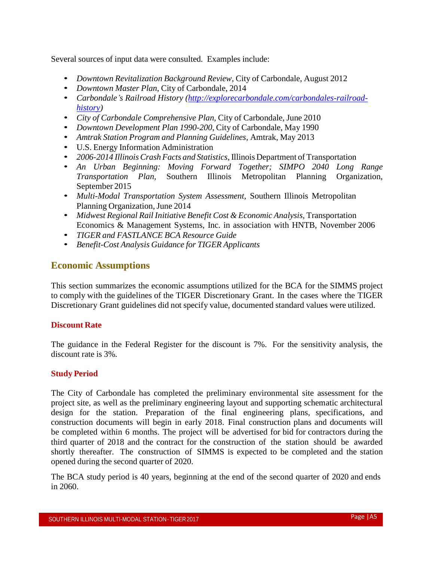Several sources of input data were consulted. Examples include:

- *Downtown Revitalization Background Review,* City of Carbondale, August 2012
- *Downtown Master Plan*, City of Carbondale, 2014
- *Carbondale's Railroad History [\(http://explorecarbondale.com/carbondales-railroad](http://explorecarbondale.com/carbondales-railroad-history)[history\)](http://explorecarbondale.com/carbondales-railroad-history)*
- *City of Carbondale Comprehensive Plan,* City of Carbondale, June 2010
- *Downtown Development Plan 1990-200*, City of Carbondale, May 1990
- *Amtrak Station Program and Planning Guidelines,* Amtrak, May 2013
- U.S. Energy Information Administration
- *2006-2014 IllinoisCrash Facts and Statistics,* Illinois Department of Transportation
- *An Urban Beginning: Moving Forward Together; SIMPO 2040 Long Range Transportation Plan,* Southern Illinois Metropolitan Planning Organization, September 2015
- *Multi-Modal Transportation System Assessment,* Southern Illinois Metropolitan Planning Organization, June 2014
- *Midwest Regional Rail Initiative Benefit Cost & Economic Analysis,* Transportation Economics & Management Systems, Inc. in association with HNTB, November 2006
- *TIGER and FASTLANCE BCA Resource Guide*
- *Benefit-Cost Analysis Guidance for TIGER Applicants*

#### **Economic Assumptions**

This section summarizes the economic assumptions utilized for the BCA for the SIMMS project to comply with the guidelines of the TIGER Discretionary Grant. In the cases where the TIGER Discretionary Grant guidelines did not specify value, documented standard values were utilized.

#### **Discount Rate**

The guidance in the Federal Register for the discount is 7%. For the sensitivity analysis, the discount rate is 3%.

#### **Study Period**

The City of Carbondale has completed the preliminary environmental site assessment for the project site, as well as the preliminary engineering layout and supporting schematic architectural design for the station. Preparation of the final engineering plans, specifications, and construction documents will begin in early 2018. Final construction plans and documents will be completed within 6 months. The project will be advertised for bid for contractors during the third quarter of 2018 and the contract for the construction of the station should be awarded shortly thereafter. The construction of SIMMS is expected to be completed and the station opened during the second quarter of 2020.

The BCA study period is 40 years, beginning at the end of the second quarter of 2020 and ends in 2060.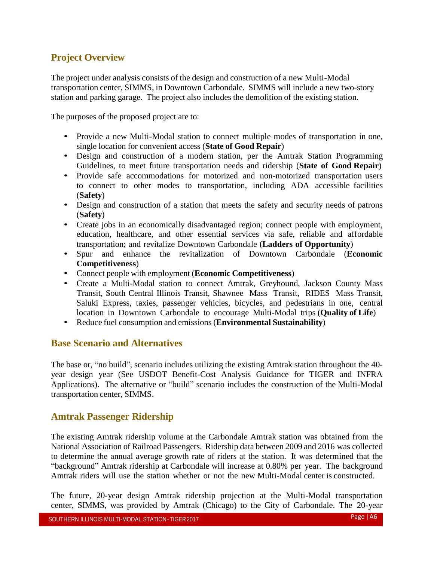### **Project Overview**

The project under analysis consists of the design and construction of a new Multi-Modal transportation center, SIMMS, in Downtown Carbondale. SIMMS will include a new two-story station and parking garage. The project also includes the demolition of the existing station.

The purposes of the proposed project are to:

- Provide a new Multi-Modal station to connect multiple modes of transportation in one, single location for convenient access (**State of Good Repair**)
- Design and construction of a modern station, per the Amtrak Station Programming Guidelines, to meet future transportation needs and ridership (**State of Good Repair**)
- Provide safe accommodations for motorized and non-motorized transportation users to connect to other modes to transportation, including ADA accessible facilities (**Safety**)
- Design and construction of a station that meets the safety and security needs of patrons (**Safety**)
- Create jobs in an economically disadvantaged region; connect people with employment, education, healthcare, and other essential services via safe, reliable and affordable transportation; and revitalize Downtown Carbondale (**Ladders of Opportunity**)
- Spur and enhance the revitalization of Downtown Carbondale (**Economic Competitiveness**)
- Connect people with employment (**Economic Competitiveness**)
- Create a Multi-Modal station to connect Amtrak, Greyhound, Jackson County Mass Transit, South Central Illinois Transit, Shawnee Mass Transit, RIDES Mass Transit, Saluki Express, taxies, passenger vehicles, bicycles, and pedestrians in one, central location in Downtown Carbondale to encourage Multi-Modal trips (**Quality of Life**)
- Reduce fuel consumption and emissions (**Environmental Sustainability**)

#### **Base Scenario and Alternatives**

The base or, "no build", scenario includes utilizing the existing Amtrak station throughout the 40 year design year (See USDOT Benefit-Cost Analysis Guidance for TIGER and INFRA Applications). The alternative or "build" scenario includes the construction of the Multi-Modal transportation center, SIMMS.

#### **Amtrak Passenger Ridership**

The existing Amtrak ridership volume at the Carbondale Amtrak station was obtained from the National Association of Railroad Passengers. Ridership data between 2009 and 2016 was collected to determine the annual average growth rate of riders at the station. It was determined that the "background" Amtrak ridership at Carbondale will increase at 0.80% per year. The background Amtrak riders will use the station whether or not the new Multi-Modal center is constructed.

The future, 20-year design Amtrak ridership projection at the Multi-Modal transportation center, SIMMS, was provided by Amtrak (Chicago) to the City of Carbondale. The 20-year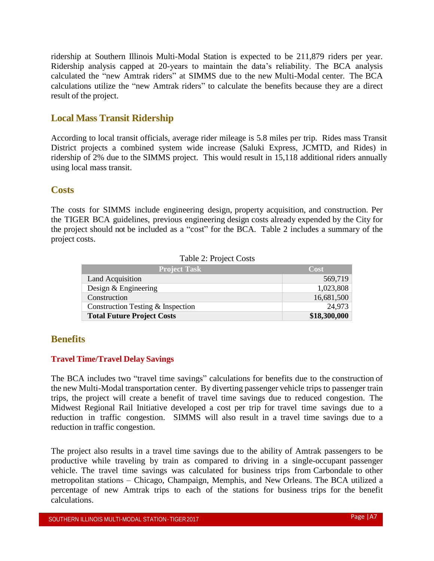ridership at Southern Illinois Multi-Modal Station is expected to be 211,879 riders per year. Ridership analysis capped at 20-years to maintain the data's reliability. The BCA analysis calculated the "new Amtrak riders" at SIMMS due to the new Multi-Modal center. The BCA calculations utilize the "new Amtrak riders" to calculate the benefits because they are a direct result of the project.

#### **Local Mass Transit Ridership**

According to local transit officials, average rider mileage is 5.8 miles per trip. Rides mass Transit District projects a combined system wide increase (Saluki Express, JCMTD, and Rides) in ridership of 2% due to the SIMMS project. This would result in 15,118 additional riders annually using local mass transit.

#### **Costs**

The costs for SIMMS include engineering design, property acquisition, and construction. Per the TIGER BCA guidelines, previous engineering design costs already expended by the City for the project should not be included as a "cost" for the BCA. Table 2 includes a summary of the project costs.

| <b>Project Task</b>               | Cost         |
|-----------------------------------|--------------|
| Land Acquisition                  | 569,719      |
| Design $&$ Engineering            | 1,023,808    |
| Construction                      | 16,681,500   |
| Construction Testing & Inspection | 24,973       |
| <b>Total Future Project Costs</b> | \$18,300,000 |

Table 2: Project Costs

#### **Benefits**

#### **Travel Time/Travel Delay Savings**

The BCA includes two "travel time savings" calculations for benefits due to the construction of the new Multi-Modal transportation center. By diverting passenger vehicle trips to passenger train trips, the project will create a benefit of travel time savings due to reduced congestion. The Midwest Regional Rail Initiative developed a cost per trip for travel time savings due to a reduction in traffic congestion. SIMMS will also result in a travel time savings due to a reduction in traffic congestion.

The project also results in a travel time savings due to the ability of Amtrak passengers to be productive while traveling by train as compared to driving in a single-occupant passenger vehicle. The travel time savings was calculated for business trips from Carbondale to other metropolitan stations – Chicago, Champaign, Memphis, and New Orleans. The BCA utilized a percentage of new Amtrak trips to each of the stations for business trips for the benefit calculations.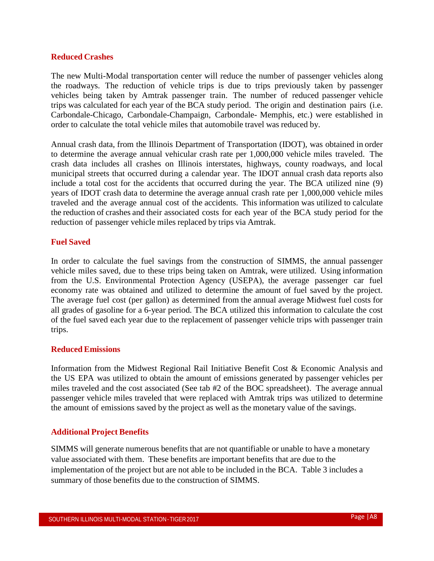#### **Reduced Crashes**

The new Multi-Modal transportation center will reduce the number of passenger vehicles along the roadways. The reduction of vehicle trips is due to trips previously taken by passenger vehicles being taken by Amtrak passenger train. The number of reduced passenger vehicle trips was calculated for each year of the BCA study period. The origin and destination pairs (i.e. Carbondale-Chicago, Carbondale-Champaign, Carbondale- Memphis, etc.) were established in order to calculate the total vehicle miles that automobile travel was reduced by.

Annual crash data, from the Illinois Department of Transportation (IDOT), was obtained in order to determine the average annual vehicular crash rate per 1,000,000 vehicle miles traveled. The crash data includes all crashes on Illinois interstates, highways, county roadways, and local municipal streets that occurred during a calendar year. The IDOT annual crash data reports also include a total cost for the accidents that occurred during the year. The BCA utilized nine (9) years of IDOT crash data to determine the average annual crash rate per 1,000,000 vehicle miles traveled and the average annual cost of the accidents. This information was utilized to calculate the reduction of crashes and their associated costs for each year of the BCA study period for the reduction of passenger vehicle miles replaced by trips via Amtrak.

#### **Fuel Saved**

In order to calculate the fuel savings from the construction of SIMMS, the annual passenger vehicle miles saved, due to these trips being taken on Amtrak, were utilized. Using information from the U.S. Environmental Protection Agency (USEPA), the average passenger car fuel economy rate was obtained and utilized to determine the amount of fuel saved by the project. The average fuel cost (per gallon) as determined from the annual average Midwest fuel costs for all grades of gasoline for a 6-year period. The BCA utilized this information to calculate the cost of the fuel saved each year due to the replacement of passenger vehicle trips with passenger train trips.

#### **ReducedEmissions**

Information from the Midwest Regional Rail Initiative Benefit Cost & Economic Analysis and the US EPA was utilized to obtain the amount of emissions generated by passenger vehicles per miles traveled and the cost associated (See tab #2 of the BOC spreadsheet). The average annual passenger vehicle miles traveled that were replaced with Amtrak trips was utilized to determine the amount of emissions saved by the project as well as the monetary value of the savings.

#### **Additional Project Benefits**

SIMMS will generate numerous benefits that are not quantifiable or unable to have a monetary value associated with them. These benefits are important benefits that are due to the implementation of the project but are not able to be included in the BCA. Table 3 includes a summary of those benefits due to the construction of SIMMS.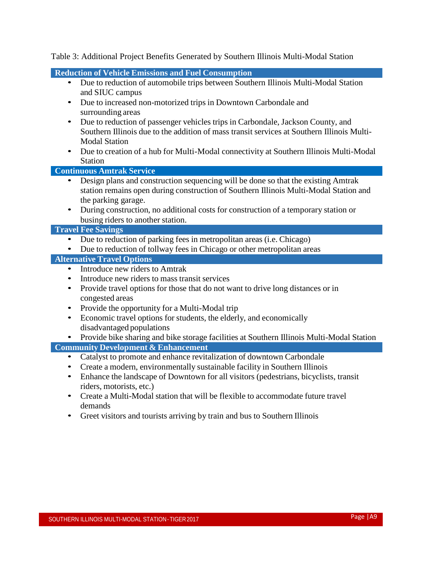Table 3: Additional Project Benefits Generated by Southern Illinois Multi-Modal Station

#### **Reduction of Vehicle Emissions and Fuel Consumption**

- Due to reduction of automobile trips between Southern Illinois Multi-Modal Station and SIUC campus
- Due to increased non-motorized trips in Downtown Carbondale and surrounding areas
- Due to reduction of passenger vehicles trips in Carbondale, Jackson County, and Southern Illinois due to the addition of mass transit services at Southern Illinois Multi-Modal Station
- Due to creation of a hub for Multi-Modal connectivity at Southern Illinois Multi-Modal Station

**Continuous Amtrak Service**

- Design plans and construction sequencing will be done so that the existing Amtrak station remains open during construction of Southern Illinois Multi-Modal Station and the parking garage.
- During construction, no additional costs for construction of a temporary station or busing riders to another station.

#### **Travel Fee Savings**

- Due to reduction of parking fees in metropolitan areas (i.e. Chicago)
- Due to reduction of tollway fees in Chicago or other metropolitan areas

#### **Alternative Travel Options**

- Introduce new riders to Amtrak
- Introduce new riders to mass transit services
- Provide travel options for those that do not want to drive long distances or in congested areas
- Provide the opportunity for a Multi-Modal trip
- Economic travel options for students, the elderly, and economically disadvantaged populations
- Provide bike sharing and bike storage facilities at Southern Illinois Multi-Modal Station **Community Development & Enhancement**

#### • Catalyst to promote and enhance revitalization of downtown Carbondale

- Create a modern, environmentally sustainable facility in Southern Illinois
- Enhance the landscape of Downtown for all visitors (pedestrians, bicyclists, transit riders, motorists, etc.)
- Create a Multi-Modal station that will be flexible to accommodate future travel demands
- Greet visitors and tourists arriving by train and bus to Southern Illinois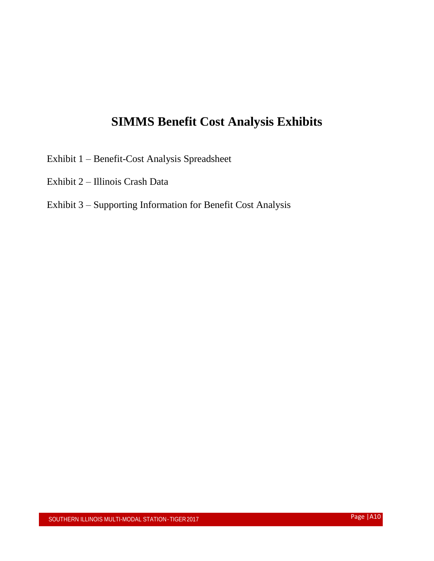## **SIMMS Benefit Cost Analysis Exhibits**

- Exhibit 1 Benefit-Cost Analysis Spreadsheet
- Exhibit 2 Illinois Crash Data

### Exhibit 3 – Supporting Information for Benefit Cost Analysis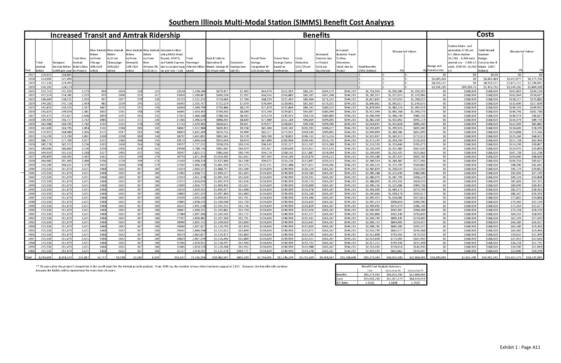## Southern Illinois Multi-Modal Station (SIMMS) Benefit Cost Analysys

|              | <b>Increased Transit and Amtrak Ridership</b> |                                  |                                    |                                                        |                                                          |                                          | <b>Benefits</b>                        |                                                                                                                                                     |                      |                                                  |                            |                                                    |                                                    | Costs                              |                                                     |                                                                  |                            |                            |                          |                 |                                                                                                                                                         |                                                                   |                        |                        |
|--------------|-----------------------------------------------|----------------------------------|------------------------------------|--------------------------------------------------------|----------------------------------------------------------|------------------------------------------|----------------------------------------|-----------------------------------------------------------------------------------------------------------------------------------------------------|----------------------|--------------------------------------------------|----------------------------|----------------------------------------------------|----------------------------------------------------|------------------------------------|-----------------------------------------------------|------------------------------------------------------------------|----------------------------|----------------------------|--------------------------|-----------------|---------------------------------------------------------------------------------------------------------------------------------------------------------|-------------------------------------------------------------------|------------------------|------------------------|
|              | otal<br>Am trak                               | <b>Backgrnd</b><br>Amtrak Riders | Total New<br>Amtrak<br>Riders (Due | New Amtrak<br>tiders<br>to/From<br>Chicago<br>40% (620 | New Amtrak<br>Riders<br>to/From<br>Champaign<br>45% (362 | Riders<br>to/From<br>Memphis<br>10% (420 | Riders<br>to/From<br>New<br>Orleans 5% | New Amtrak New Amtrak Increased riders<br>ising RIDES Mass<br>ransit, JCMTD.<br>and Saluki Express  Passenger<br>due to project (avg Vehicles Miles |                      | uel & Vehicle<br>Operation &<br>Maint. Savings @ | Emission s<br>Savings (see | Travel Time<br>Savings<br>Congestion $\varnothing$ | Γ <b>ravel Tim</b> e<br>Savings Varies<br>based on | Crash<br>Reduction<br>\$20,759 per | Increased<br>Tourism due<br>to Project<br>\$151 per | n creased<br>Business Trave<br>o New<br>)owntown<br>Hotel due to | Fotal Benefits             |                            | <b>Discounted Values</b> | )esign and      | Station Maint. and<br>operation \$7.01 per<br>.F. (New station<br>36,750) - 6,400 exist<br>amtrak sta. - 3,400 s. <sup>.</sup><br>exist. JCMTD)= 26,950 | otal Annual<br>xpense<br>Design<br>∛ Construction<br>laint. (2017 | Discounted Values      |                        |
| Year         | ∖iders                                        | 0.80% per vear lto Proiect)      |                                    | miles)                                                 | miles)                                                   | miles)                                   | [1232 mi.]                             | mi. per trip = $5.8$ )                                                                                                                              | Isaved               | \$0.54 per mile                                  | tab #2)                    | \$28.56 per trip                                   | destin ation                                       | crash                              | day/person                                          | Project                                                          | (2016 Dollars)             | 3%                         |                          | on struction    |                                                                                                                                                         | Dollars)                                                          |                        |                        |
| 201          | 120,92                                        | 118,865                          |                                    |                                                        |                                                          |                                          |                                        |                                                                                                                                                     |                      |                                                  |                            |                                                    |                                                    |                                    |                                                     |                                                                  |                            |                            |                          | -SO             | S0                                                                                                                                                      | <b>S0.00</b>                                                      | - \$0                  | S0                     |
| 2018         | 124,00                                        | 121,890                          |                                    |                                                        |                                                          |                                          |                                        |                                                                                                                                                     |                      |                                                  |                            |                                                    |                                                    |                                    |                                                     |                                                                  |                            |                            |                          | \$6,605.469     | 50 <sub>2</sub>                                                                                                                                         | \$6,605,469                                                       | \$6,413,077            | \$6,173,336            |
| 2019         | 127,156                                       | 124,993                          |                                    |                                                        |                                                          |                                          |                                        |                                                                                                                                                     |                      |                                                  |                            |                                                    |                                                    |                                    |                                                     |                                                                  |                            |                            |                          | \$8,353,237     | -SO                                                                                                                                                     | \$8,353,23                                                        | \$7,873,72             | \$7,296,041            |
| 2020         | 130,393                                       | 128,174                          |                                    |                                                        |                                                          |                                          |                                        |                                                                                                                                                     |                      |                                                  |                            |                                                    |                                                    |                                    |                                                     |                                                                  |                            |                            |                          | \$3,341,295     | \$94,459.75                                                                                                                                             | \$3,435,755                                                       | \$3,144,202            | \$2,804,599            |
| 202          | 133.71                                        | 131,436                          | 2,275                              | 910                                                    | 1024                                                     | 228                                      | 114                                    | 15118                                                                                                                                               | 1.258.18             | \$679.417                                        | \$7,405                    | \$64.97                                            | \$211,503                                          | \$81.261                           | \$163,175                                           | \$544.21                                                         | \$1,751,951                | \$1.556.586                | \$1,336,55               | \$0             | \$188,920                                                                                                                                               | \$188,920                                                         | \$167,853              | \$144,12               |
| 2022         | 137,11                                        | 134,781                          | 2,333                              | 933                                                    | 1050                                                     | 233                                      | 117                                    | 15420                                                                                                                                               | 1,289,86             | \$696.528                                        | \$7,592                    | \$66,636                                           | \$216,885                                          | \$83,307                           | \$167,348                                           | \$544.215                                                        | \$1,782,512                | \$1,537,610                | \$1,270,906              | \$0             | \$188,920                                                                                                                                               | \$188,920                                                         | \$162,964              | \$134,697              |
| 2023         | 140,604                                       | 138,211                          | 2,393                              | 957                                                    | 1077                                                     | 239                                      | 120                                    | 15729                                                                                                                                               | 1,322,33             | \$714,060                                        | \$7,784                    | \$68,339                                           | \$222,405                                          | \$85,404                           | \$171,625                                           | \$544,215                                                        | \$1,813,831                | \$1,519,055                | \$1,208,632              | \$0             | \$188,920                                                                                                                                               | \$188,920                                                         | \$158,217              | \$125,885              |
| 2024         | 144,182                                       | 141,728                          | 2,454                              | 982                                                    | 1104                                                     | 245                                      | 123                                    | 16043                                                                                                                                               | 1,355,76             | \$732,114                                        | \$7,979                    | \$70,094                                           | \$228,065                                          | \$87,563                           | \$176,032                                           | \$544,215                                                        | \$1,846,062                | \$1,501,017                | \$1,149,63               | \$0             | \$188,920                                                                                                                                               | \$188,920                                                         | \$153,609              | \$117,650              |
| 202          | 147,85<br>151.61                              | 145,335                          | 2,517<br>2,581                     | 1007<br>1032                                           | 1133                                                     | 252<br>258                               | 126<br>129                             | 16364                                                                                                                                               | 1,389,79<br>1,424,56 | \$750,486<br>\$769,265                           | \$8,179                    | \$71,879                                           | \$233,869                                          | \$89,761                           | \$180,515                                           | \$544,215<br>\$544,215                                           | \$1,878,904                | \$1,483,224                | \$1,093,539              | 50<br>50        | \$188,920                                                                                                                                               | \$188,920<br>\$188,920                                            | \$149.135              | \$109,953<br>\$102,760 |
| 2026<br>202  | 155,47                                        | 149,034<br>152,82                | 2,646                              | 1059                                                   | 1161<br>1191                                             | 265                                      | 132                                    | 16691<br>17025                                                                                                                                      | 1,460,28             | \$788,556                                        | \$8,384<br>\$8,593         | \$73,704<br>\$75,579                               | \$239,821<br>\$245,92                              | \$92,007<br>\$94,314               | \$185,099<br>\$189,809                              | \$544,21                                                         | \$1,912,494<br>\$1,946,990 | \$1,465,768<br>\$1,448,744 | \$1,040,270<br>\$989,75  | 50              | \$188,920<br>\$188,920                                                                                                                                  | \$188,920                                                         | \$144,791<br>\$140,574 | \$96,037               |
| 2028         | 159.430                                       | 156,717                          | 2,713                              | 1085                                                   | 1221                                                     | 271                                      | 136                                    | 17366                                                                                                                                               | 1,496,67             | \$808.202                                        | \$8,810                    | \$77,489                                           | \$252,184                                          | \$96,664                           | \$194,605                                           | \$544,215                                                        | \$1,982,169                | \$1,431,961                | \$941,714                | $\overline{50}$ | \$188,920                                                                                                                                               | \$188,920                                                         | \$136,479              | \$89,754               |
| 2029         | 163.488                                       | 160,705                          | 2,783                              | 1113                                                   | 1252                                                     | 278                                      | 139                                    | 17713                                                                                                                                               | 1,534,48             | \$828,621                                        | \$9,031                    | \$79,477                                           | \$258,602                                          | \$99,106                           | \$199,596                                           | \$544,215                                                        | \$2,018,647                | \$1,415,838                | \$896,303                | \$0             | \$188,920                                                                                                                                               | \$188,920                                                         | \$132,504              | \$83,883               |
| 203          | 167,649                                       | 164,79                           | 2,854                              | 1141                                                   | 1284                                                     | 285                                      | 143                                    | 18067                                                                                                                                               | 1,572,98             | \$849,413                                        | \$9,258                    | \$81,500                                           | \$265,183                                          | \$101,593                          | \$204,677                                           | \$544,21                                                         | \$2,055,839                | \$1,399,926                | \$853,100                | \$0             | \$188,920                                                                                                                                               | \$188,920                                                         | \$128,645              | \$78,39                |
| 2031         | 171,91                                        | 168,989                          | 2,926                              | 1171                                                   | 1317                                                     | 293                                      | 146                                    | 18429                                                                                                                                               | 1,612,50             | \$870,755                                        | \$9,490                    | \$83,57                                            | \$271,932                                          | \$104,145                          | \$209,895                                           | \$544,215                                                        | \$2,094,009                | \$1,384,386                | \$812,093                | 50              | \$188,920                                                                                                                                               | \$188,920                                                         | \$124,898              | \$73,266               |
| 2032         | 176,291                                       | 173,290                          | 3,001                              | 1200                                                   | 1350                                                     | 300                                      | 150                                    | 18797                                                                                                                                               | 1,652,89             | \$892,561                                        | \$9,729                    | \$85,700                                           | \$278,853                                          | \$106,753                          | \$215,226                                           | \$544,215                                                        | \$2,133,037                | \$1,369,115                | \$773,111                | \$0             | \$188,920                                                                                                                                               | \$188,920                                                         | \$121,260              | \$68,473               |
| 2033         | 180,77                                        | 177,700                          | 3,07                               | 1231                                                   | 1385                                                     | 308                                      | 154                                    | 19173                                                                                                                                               | 1,694,52             | \$915,044                                        | \$9,974                    | \$87,890                                           | \$285,950                                          | \$109,443                          | \$220,726                                           | \$544,21!                                                        | \$2,173,243                | \$1,354,293                | \$736,153                | 50              | \$188,920                                                                                                                                               | \$188,920                                                         | \$117,728              | \$63,994               |
| 2034         | 185,378                                       | 182,222                          | 3,156                              | 1263                                                   | 1420                                                     | 316                                      | 158                                    | 19557                                                                                                                                               | 1,737,33             | \$938,159                                        | \$10,224                   | \$90,143                                           | \$293,22                                           | \$112,207                          | \$226,384                                           | \$544,215                                                        | \$2,214,559                | \$1,339,844                | \$701,073                | 50              | \$188,920                                                                                                                                               | \$188,920                                                         | \$114,299              | \$59,807               |
| 2035         | 190.096                                       | 186.860                          | 3,236                              | 1294                                                   | 1456                                                     | 324                                      | 162                                    | 19948                                                                                                                                               | 1,780,74             | \$961,602                                        | \$10,479                   | \$92,427                                           | \$300,690                                          | \$115,011                          | \$232,120                                           | \$544,215                                                        | \$2,256,544                | \$1,325,482                | \$667.630                | \$0             | \$188,920                                                                                                                                               | \$188,920                                                         | \$110,970              | \$55,894               |
| 2036         | 194,93                                        | 191,616                          | 3,318                              | 1327                                                   | 1493                                                     | 332                                      | 166                                    | 20347                                                                                                                                               | 1,825,27             | \$985,646                                        | \$10,744                   | \$94,770                                           | \$308,342                                          | \$117,887                          | \$238,004                                           | \$544,215                                                        | \$2,299,609                | \$1,311,435                | \$635,861                | \$0             | \$188,920                                                                                                                                               | \$188,920                                                         | \$107,738              | \$52,238               |
| 203          | 199,895                                       | 196,492                          | 3,403                              | 1361                                                   | 1532                                                     | 340                                      | 170                                    | 20754                                                                                                                                               | 1,871,45             | \$1,010,585                                      | \$11,013                   | \$97,203                                           | \$316,189                                          | \$120,870                          | \$244,113                                           | \$544,215                                                        | \$2,344,188                | \$1,297,920                | \$605,783                | 50              | \$188,920                                                                                                                                               | \$188,920                                                         | \$104,600              | \$48,820               |
| 2038         | 204,983                                       | 201,493                          | 3,490                              | 1396                                                   | 1570                                                     | 349                                      | 174                                    | 21169                                                                                                                                               | 1,918,33             | \$1,035,900                                      | \$11,290                   | \$99,672                                           | \$324,230                                          | \$123,897                          | \$250,313                                           | \$544,215                                                        | \$2,389,524                | \$1,284,487                | \$577,101                | 50              | \$188,920                                                                                                                                               | \$188,920                                                         | \$101.554              | \$45,627               |
| 203          | 210,20                                        | 206,621                          | 3,579                              | 1432<br>1468                                           | 1610                                                     | 358                                      | 179<br>184                             | 21592                                                                                                                                               | 1,966,53             | \$1,061,930                                      | \$11,575                   | \$102,211                                          | \$332,488                                          | \$127,011                          | \$256,691                                           | \$544,215                                                        | \$2,436,121                | \$1,271,393                | \$549,865                | 50<br>50        | \$188,920                                                                                                                                               | \$188,920                                                         | \$98,596               | \$42,642               |
| 2040<br>2041 | 215,550<br>215.550                            | 211,879<br>211,879               | 3,671<br>3,671                     | 1468                                                   | 1652<br>1652                                             | 367<br>36                                | 184                                    | 22024<br>22465                                                                                                                                      | 2,016,21<br>2,018,77 | \$1,088,757<br>\$1,090,137                       | \$11,590<br>\$11,605       | \$104,830<br>\$104,830                             | \$340,950<br>\$340,950                             | \$130,219<br>\$130,384             | \$263,267<br>\$263,267                              | \$544,215<br>\$544,215                                           | \$2,483,829<br>\$2,485,388 | \$1,258,535<br>\$1,222,646 | \$523,956<br>\$489.98    | \$0             | \$188,920<br>\$188,920                                                                                                                                  | \$188,920<br>\$188,920                                            | \$95,724<br>\$92,936   | \$39,852<br>\$37,245   |
| 2042         | 215,550                                       | 211,879                          | 3,671                              | 1468                                                   | 1652                                                     | 367                                      | 184                                    | 22914                                                                                                                                               | 2,021,37             | \$1,091,544                                      | \$11,620                   | \$104,830                                          | \$340,950                                          | \$130,552                          | \$263,267                                           | \$544,215                                                        | \$2,486,979                | \$1,187,795                | \$458,224                | \$0             | \$188,920                                                                                                                                               | \$188,920                                                         | \$90,229               | \$34,808               |
| 2043         | 215,550                                       | 211,879                          | 3,671                              | 1468                                                   | 1652                                                     | 367                                      | 184                                    | 23372                                                                                                                                               | 2,024,03             | \$1,092,979                                      | \$11,636                   | \$104,830                                          | \$340,950                                          | \$130,724                          | \$263,267                                           | \$544,215                                                        | \$2,488,601                | \$1,153,951                | \$428,52                 | \$0             | \$188,920                                                                                                                                               | \$188,920                                                         | \$87,601               | \$32,531               |
| 2044         | 215,550                                       | 211,879                          | 3,671                              | 1468                                                   | 1652                                                     | 36                                       | 184                                    | 23840                                                                                                                                               | 2,026,74             | \$1,094,443                                      | \$11,652                   | \$104,830                                          | \$340,950                                          | \$130,899                          | \$263,267                                           | \$544,215                                                        | \$2,490,256                | \$1,121,086                | \$400,758                | \$0             | \$188,920                                                                                                                                               | \$188,920                                                         | \$85,049               | \$30,403               |
| 2045         | 215.550                                       | 211,879                          | 3,671                              | 1468                                                   | 1652                                                     | 367                                      | 184                                    | 24316                                                                                                                                               | 2.029.51             | \$1,095,937                                      | \$11,668                   | \$104,830                                          | \$340,950                                          | \$131,078                          | \$263,267                                           | \$544.215                                                        | \$2,491,945                | \$1,089,171                | \$374,794                | 50              | \$188,920                                                                                                                                               | \$188,920                                                         | S82.572                | \$28,414               |
| 2046         | 215,550                                       | 211,879                          | 3,671                              | 1468                                                   | 1652                                                     | 367                                      | 184                                    | 24803                                                                                                                                               | 2.032.33             | \$1,097,460                                      | \$11,684                   | \$104,830                                          | \$340,950                                          | \$131,260                          | \$263,267                                           | \$544.215                                                        | \$2,493,666                | \$1,058.178                | \$350.51                 | 50              | \$188,920                                                                                                                                               | \$188,920                                                         | \$80.167               | \$26,555               |
| 2047         | 215,550                                       | 211,879                          | 3,671                              | 1468                                                   | 1652                                                     | 367                                      | 184                                    | 25299                                                                                                                                               | 2,035,21             | \$1,099,013                                      | \$11,701                   | \$104,830                                          | \$340,950                                          | \$131,446                          | \$263,267                                           | \$544,215                                                        | \$2,495,423                | \$1,028,081                | \$327,81                 | \$0             | \$188,920                                                                                                                                               | \$188,920                                                         | \$77,832               | \$24,818               |
| 2048         | 215.550                                       | 211,879                          | 3.671                              | 1468                                                   | 1652                                                     | 367                                      | 184                                    | 25805                                                                                                                                               | 2.038.14             | \$1,100.598                                      | \$11,719                   | \$104.830                                          | \$340.950                                          | \$131.635                          | \$263.267                                           | \$544.215                                                        | \$2,497,214                | \$998.854                  | \$306.590                | \$0             | \$188,920                                                                                                                                               | \$188,920                                                         | \$75.565               | \$23,194               |
| 2049         | 215.55                                        | 211,879                          | 3,671                              | 1468                                                   | 1652                                                     | 367                                      | 184                                    | 26321                                                                                                                                               | 2.041.138            | \$1,102,215                                      | \$11,736                   | \$104,830                                          | \$340,950                                          | \$131,829                          | \$263,267                                           | \$544,215                                                        | \$2,499,041                | \$970,470                  | \$286,743                | \$0             | \$188.920                                                                                                                                               | \$188,920                                                         | \$73,364               | \$21,67                |
| 2050         | 215,550                                       | 211,879                          | 3,671                              | 1468                                                   | 1652                                                     | 367                                      | 184                                    | 26847                                                                                                                                               | 2,044,19             | \$1,103,863                                      | \$11,754                   | \$104,830                                          | \$340,950                                          | \$132,026                          | \$263,267                                           | \$544,215                                                        | \$2,500,905                | \$942,907                  | \$268,184                | 50              | \$188,920                                                                                                                                               | \$188,920                                                         | 571,228                | \$20,259               |
| 2051         | 215,550                                       | 211,879                          | 3,671                              | 1468                                                   | 1652                                                     | 367                                      | 184                                    | 27384                                                                                                                                               | 2,047,30             | \$1,105,545                                      | \$11,772                   | \$104,830                                          | \$340,950                                          | \$132,227                          | \$263,267                                           | \$544,215                                                        | \$2,502,806                | \$916,140                  | \$250,830                | 50              | \$188,920                                                                                                                                               | \$188,920                                                         | \$69,153               | \$18,933               |
| 2052         | 215,550                                       | 211.879                          | 3.671                              | 1468                                                   | 1652                                                     | 367                                      | 184                                    | 27932                                                                                                                                               | 2.050.48             | \$1,107,260                                      | \$11.791                   | \$104,830                                          | \$340,950                                          | \$132,432                          | \$263,267                                           | \$544.215                                                        | \$2,504,745                | \$890.145                  | \$234.60                 | 50              | \$188,920                                                                                                                                               | \$188,920                                                         | \$67.139               | \$17,695               |
| 2053<br>2054 | 215,550                                       | 211,879                          | 3,671                              | 1468<br>1468                                           | 1652                                                     | 367<br>367                               | 184<br>184                             | 28490<br>29060                                                                                                                                      | 2,053,72<br>2.057.02 | \$1,109,010                                      | \$11,810                   | \$104,830<br>\$104.830                             | \$340,950<br>\$340.950                             | \$132,641                          | \$263,267                                           | \$544,215<br>\$544.215                                           | \$2,506,723<br>\$2.508.741 | \$864,901<br>\$840.385     | \$219,42<br>\$205.23     | 50              | \$188,920<br>\$188,920                                                                                                                                  | \$188,920<br>\$188,920                                            | \$65,183<br>S63.285    | \$16,537               |
| 205          | 215.550<br>215.550                            | 211,879<br>211.879               | 3.671<br>3.671                     | 1468                                                   | 1652<br>1652                                             | 367                                      | 184                                    | 29642                                                                                                                                               | 2.060.39             | \$1,110,795<br>\$1.112.615                       | \$11,829<br>\$11,849       | \$104.830                                          | \$340.950                                          | \$132.855<br>\$133.073             | \$263,267<br>\$263.267                              | \$544.215                                                        | \$2,510,799                | \$816.577                  | \$191.968                | \$0<br>\$0      | \$188.920                                                                                                                                               | \$188,920                                                         | S61 442                | \$15,45<br>\$14,444    |
| 2056         | 215,550                                       | 211,879                          | 3,671                              | 1468                                                   | 1652                                                     | 367                                      | 184                                    | 30234                                                                                                                                               | 2,063,83             | \$1,114,472                                      | \$11,869                   | \$104,830                                          | \$340,950                                          | \$133,295                          | \$263,267                                           | \$544,215                                                        | \$2,512,898                | \$793,456                  | \$179,559                | 50              | \$188,920                                                                                                                                               | \$188,920                                                         | \$59,652               | \$13,499               |
| 205          | 215,550                                       | 211,879                          | 3,671                              | 1468                                                   | 1652                                                     | 367                                      | 184                                    | 30839                                                                                                                                               | 2,067,344            | \$1,116,366                                      | \$11,889                   | \$104,830                                          | \$340,950                                          | \$133,521                          | \$263,267                                           | \$544,215                                                        | \$2,515,038                | \$771,002                  | \$167,955                | \$0             | \$188,920                                                                                                                                               | \$188,920                                                         | \$57,915               | \$12,616               |
| 2058         | 215,550                                       | 211,879                          | 3.671                              | 1468                                                   | 1652                                                     | 367                                      | 184                                    | 31456                                                                                                                                               | 2,070,92             | \$1,118,297                                      | \$11,910                   | \$104,830                                          | \$340,950                                          | \$133,752                          | \$263,267                                           | \$544,215                                                        | \$2,517,222                | \$749.196                  | \$157,104                | 50              | \$188,920                                                                                                                                               | \$188,920                                                         | \$56,228               | \$11,791               |
| 2059         | 215.550                                       | 211,879                          | 3,671                              | 1468                                                   | 1652                                                     | 367                                      | 184                                    | 32085                                                                                                                                               | 2,074,57             | \$1,120,268                                      | \$11,932                   | \$104,830                                          | \$340,950                                          | \$133,988                          | \$263,267                                           | \$544.215                                                        | \$2,519,450                | \$728,018                  | \$146,956                | 50              | \$188,920                                                                                                                                               | \$188,920                                                         | \$54,590               | \$11,019               |
| 2060         | 215.550                                       | 211.879                          | 3.671                              | 1468                                                   | 1652                                                     | 367                                      | 184                                    | 32727                                                                                                                                               | 2,078,29             | \$1.122.278                                      | \$419.771                  | \$104.830                                          | \$340.950                                          | \$134.228                          | \$263.267                                           | \$544.215                                                        | \$2,929,539                | \$821.862                  | \$159.697                | 50              | \$188.920                                                                                                                                               | \$188.920                                                         | \$53,000               | \$10.299               |
|              | 8.244.60                                      | 8.104.233                        | 131.817                            | 52.727                                                 | 59.318                                                   | 13.182                                   | 6.591                                  | 913.15                                                                                                                                              | 73.116.10            | \$39.482.697                                     | \$832.319                  | \$3,764,691                                        | \$12,246.29                                        | \$4.722.26                         | \$9,454,567                                         | \$21,768,600                                                     | \$92,271,443               | \$46,921,443               | \$22,968.503             | \$18,300,001    | \$7,651,240                                                                                                                                             | \$25,951,241                                                      | \$21,427,27            | 518,329,919            |

\*\* 20-years after the project's completion is the cutoff point for the Amtrak growth analysis. From 2041 on, the number of new riders has been capped at 3,671. However, the benefits will continue because the facility will be operational for more than 20-years.

| Benefit Cost Analysis Summary |              |               |       |  |  |  |  |  |  |
|-------------------------------|--------------|---------------|-------|--|--|--|--|--|--|
|                               | Total        | Discounted 3% | Disco |  |  |  |  |  |  |
| <b>Benefits</b>               | \$92,271,443 | \$46,921,443  | \$22  |  |  |  |  |  |  |
| Costs                         | \$25,951,241 | \$21,427,275  | \$18  |  |  |  |  |  |  |
| <b>B/C Ratio</b>              | 3.5556       | 2.1898        | 1.    |  |  |  |  |  |  |

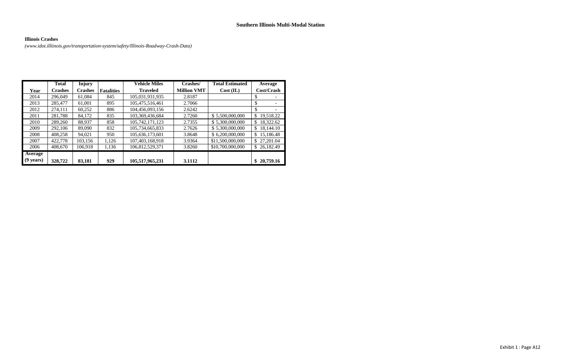Exhibit 1 : Page A12

#### **Illinois Crashes**

*[\(www.idot.illiinois.gov/transportation-system/safety/Illinois-Roadway-Crash-Data\)](http://www.idot.illiinois.gov/transportation-system/safety/Illinois-Roadway-Crash-Data))*

|                     | <b>Total</b>   | <b>Injury</b>  |                   | <b>Vehicle Miles</b> | Crashes/           | <b>Total Estimated</b> | Average          |
|---------------------|----------------|----------------|-------------------|----------------------|--------------------|------------------------|------------------|
| Year                | <b>Crashes</b> | <b>Crashes</b> | <b>Fatalities</b> | <b>Traveled</b>      | <b>Million VMT</b> | Cost (IL)              | Cost/Crash       |
| 2014                | 296,049        | 61,084         | 845               | 105,031,931,935      | 2.8187             |                        | S                |
| 2013                | 285,477        | 61,001         | 895               | 105,475,516,461      | 2.7066             |                        | \$               |
| 2012                | 274,111        | 60,252         | 886               | 104,456,093,156      | 2.6242             |                        | \$               |
| 2011                | 281,788        | 84,172         | 835               | 103,369,436,684      | 2.7260             | \$5,500,000,000        | \$<br>19,518.22  |
| 2010                | 289,260        | 88,937         | 858               | 105,742,171,123      | 2.7355             | \$5,300,000,000        | 18,322.62<br>\$. |
| 2009                | 292,106        | 89,090         | 832               | 105,734,665,833      | 2.7626             | \$5,300,000,000        | 18,144.10<br>\$. |
| 2008                | 408,258        | 94,021         | 950               | 105,636,173,601      | 3.8648             | \$6,200,000,000        | 15,186.48<br>\$  |
| 2007                | 422,778        | 103,156        | 1,126             | 107,403,168,918      | 3.9364             | \$11,500,000,000       | 27,201.04<br>\$  |
| 2006                | 408,670        | 106,918        | 1,136             | 106,812,529,371      | 3.8260             | \$10,700,000,000       | \$26,182.49      |
| Average             |                |                |                   |                      |                    |                        |                  |
| $(9 \text{ years})$ | 328,722        | 83,181         | 929               | 105,517,965,231      | 3.1112             |                        | 20,759.16<br>\$  |